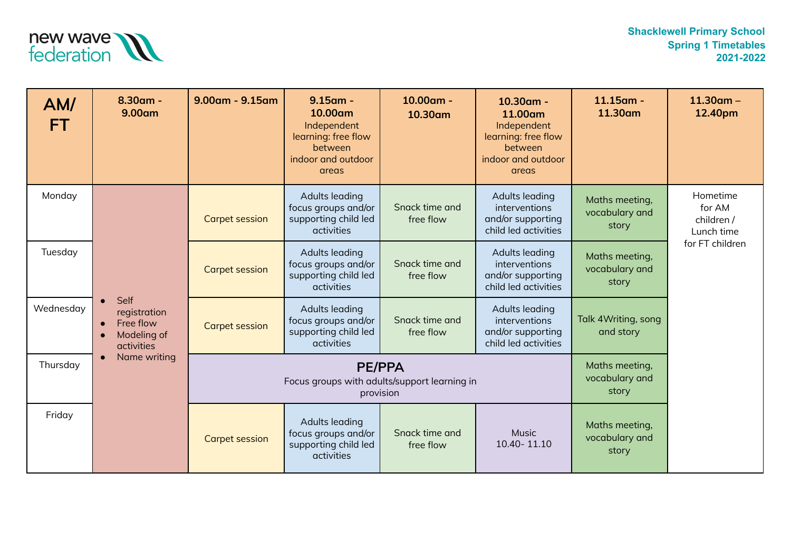

| AM/<br><b>FT</b> | 8.30am -<br>9.00am                                                                          | $9.00$ am - $9.15$ am | $9.15$ am -<br>10.00am<br>Independent<br>learning: free flow<br>between<br>indoor and outdoor<br>areas | 10.00am -<br>10.30am                      | 10.30am -<br>11.00am<br>Independent<br>learning: free flow<br>between<br>indoor and outdoor<br>areas | $11.15$ am -<br>11.30am                   | $11.30$ am -<br>12.40pm                        |
|------------------|---------------------------------------------------------------------------------------------|-----------------------|--------------------------------------------------------------------------------------------------------|-------------------------------------------|------------------------------------------------------------------------------------------------------|-------------------------------------------|------------------------------------------------|
| Monday           | Self<br>registration<br>Free flow<br>$\bullet$<br>Modeling of<br>activities<br>Name writing | <b>Carpet session</b> | Adults leading<br>focus groups and/or<br>supporting child led<br>activities                            | Snack time and<br>free flow               | Adults leading<br>interventions<br>and/or supporting<br>child led activities                         | Maths meeting,<br>vocabulary and<br>story | Hometime<br>for AM<br>children /<br>Lunch time |
| Tuesday          |                                                                                             | <b>Carpet session</b> | Adults leading<br>focus groups and/or<br>supporting child led<br>activities                            | Snack time and<br>free flow               | Adults leading<br>interventions<br>and/or supporting<br>child led activities                         | Maths meeting,<br>vocabulary and<br>story | for FT children                                |
| Wednesday        |                                                                                             | <b>Carpet session</b> | Adults leading<br>focus groups and/or<br>supporting child led<br>activities                            | Snack time and<br>free flow               | Adults leading<br>interventions<br>and/or supporting<br>child led activities                         | Talk 4 Writing, song<br>and story         |                                                |
| Thursday         |                                                                                             |                       | <b>PE/PPA</b><br>Focus groups with adults/support learning in<br>provision                             | Maths meeting,<br>vocabulary and<br>story |                                                                                                      |                                           |                                                |
| Friday           |                                                                                             | <b>Carpet session</b> | Adults leading<br>focus groups and/or<br>supporting child led<br>activities                            | Snack time and<br>free flow               | <b>Music</b><br>10.40 - 11.10                                                                        | Maths meeting,<br>vocabulary and<br>story |                                                |